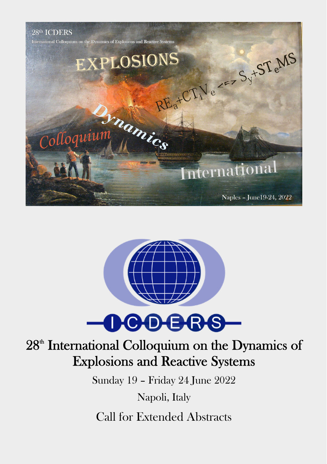



# 28<sup>th</sup> International Colloquium on the Dynamics of Explosions and Reactive Systems

Sunday 19 – Friday 24 June 2022

Napoli, Italy

Call for Extended Abstracts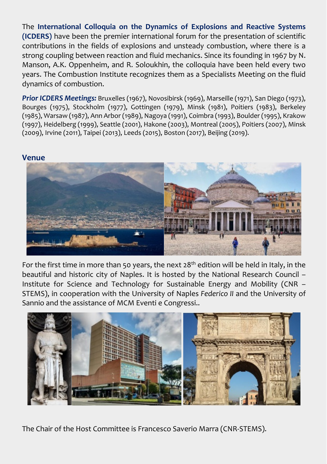The **International Colloquia on the Dynamics of Explosions and Reactive Systems (ICDERS)** have been the premier international forum for the presentation of scientific contributions in the fields of explosions and unsteady combustion, where there is a strong coupling between reaction and fluid mechanics. Since its founding in 1967 by N. Manson, A.K. Oppenheim, and R. Soloukhin, the colloquia have been held every two years. The Combustion Institute recognizes them as a Specialists Meeting on the fluid dynamics of combustion.

*Prior ICDERS Meetings:* Bruxelles (1967), Novosibirsk (1969), Marseille (1971), San Diego (1973), Bourges (1975), Stockholm (1977), Gottingen (1979), Minsk (1981), Poitiers (1983), Berkeley (1985), Warsaw (1987), Ann Arbor (1989), Nagoya (1991), Coimbra (1993), Boulder (1995), Krakow (1997), Heidelberg (1999), Seattle (2001), Hakone (2003), Montreal (2005), Poitiers (2007), Minsk (2009), Irvine (2011), Taipei (2013), Leeds (2015), Boston (2017), Beijing (2019).

#### **Venue**



For the first time in more than 50 years, the next  $28<sup>th</sup>$  edition will be held in Italy, in the beautiful and historic city of Naples. It is hosted by the National Research Council – Institute for Science and Technology for Sustainable Energy and Mobility (CNR – STEMS), in cooperation with the University of Naples *Federico II* and the University of Sannio and the assistance of MCM Eventi e Congressi..



The Chair of the Host Committee is Francesco Saverio Marra (CNR‐STEMS).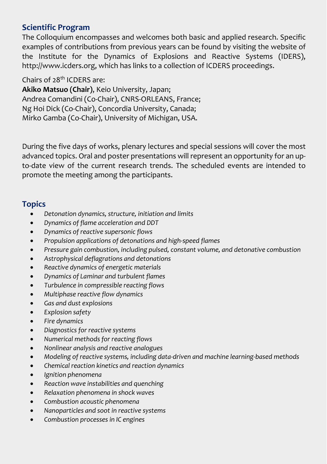# **Scientific Program**

The Colloquium encompasses and welcomes both basic and applied research. Specific examples of contributions from previous years can be found by visiting the website of the Institute for the Dynamics of Explosions and Reactive Systems (IDERS), http://www.icders.org, which has links to a collection of ICDERS proceedings.

Chairs of 28th ICDERS are:

**Akiko Matsuo (Chair)**, Keio University, Japan; Andrea Comandini (Co‐Chair), CNRS‐ORLEANS, France; Ng Hoi Dick (Co‐Chair), Concordia University, Canada; Mirko Gamba (Co‐Chair), University of Michigan, USA.

During the five days of works, plenary lectures and special sessions will cover the most advanced topics. Oral and poster presentations will represent an opportunity for an up‐ to-date view of the current research trends. The scheduled events are intended to promote the meeting among the participants.

# **Topics**

- *Detonation dynamics, structure, initiation and limits*
- *Dynamics of flame acceleration and DDT*
- *Dynamics of reactive supersonic flows*
- *Propulsion applications of detonations and high‐speed flames*
- *Pressure gain combustion, including pulsed, constant volume, and detonative combustion*
- *Astrophysical deflagrations and detonations*
- *Reactive dynamics of energetic materials*
- *Dynamics of Laminar and turbulent flames*
- *Turbulence in compressible reacting flows*
- *Multiphase reactive flow dynamics*
- *Gas and dust explosions*
- *Explosion safety*
- *Fire dynamics*
- *Diagnostics for reactive systems*
- *Numerical methods for reacting flows*
- *Nonlinear analysis and reactive analogues*
- *Modeling of reactive systems, including data‐driven and machine learning‐based methods*
- *Chemical reaction kinetics and reaction dynamics*
- *Ignition phenomena*
- *Reaction wave instabilities and quenching*
- *Relaxation phenomena in shock waves*
- *Combustion acoustic phenomena*
- *Nanoparticles and soot in reactive systems*
- *Combustion processes in IC engines*